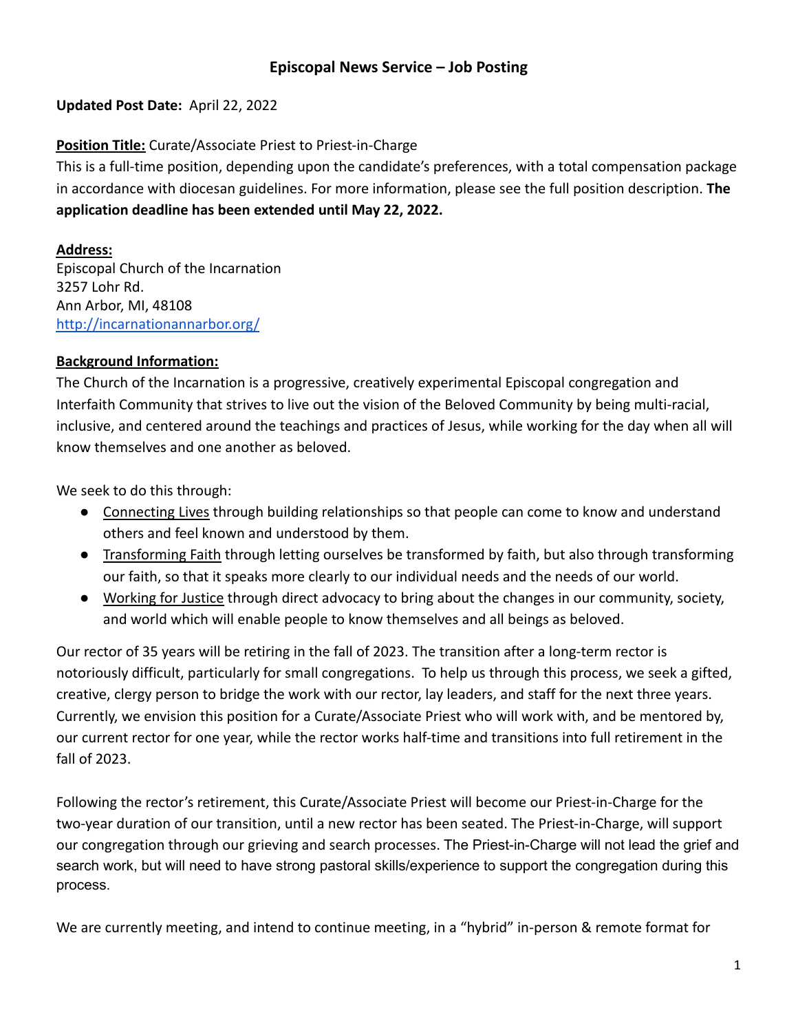# **Episcopal News Service – Job Posting**

## **Updated Post Date:** April 22, 2022

# **Position Title:** Curate/Associate Priest to Priest-in-Charge

This is a full-time position, depending upon the candidate's preferences, with a total compensation package in accordance with diocesan guidelines. For more information, please see the full position description. **The application deadline has been extended until May 22, 2022.**

# **Address:**

Episcopal Church of the Incarnation 3257 Lohr Rd. Ann Arbor, MI, 48108 <http://incarnationannarbor.org/>

# **Background Information:**

The Church of the Incarnation is a progressive, creatively experimental Episcopal congregation and Interfaith Community that strives to live out the vision of the Beloved Community by being multi-racial, inclusive, and centered around the teachings and practices of Jesus, while working for the day when all will know themselves and one another as beloved.

We seek to do this through:

- Connecting Lives through building relationships so that people can come to know and understand others and feel known and understood by them.
- Transforming Faith through letting ourselves be transformed by faith, but also through transforming our faith, so that it speaks more clearly to our individual needs and the needs of our world.
- Working for Justice through direct advocacy to bring about the changes in our community, society, and world which will enable people to know themselves and all beings as beloved.

Our rector of 35 years will be retiring in the fall of 2023. The transition after a long-term rector is notoriously difficult, particularly for small congregations. To help us through this process, we seek a gifted, creative, clergy person to bridge the work with our rector, lay leaders, and staff for the next three years. Currently, we envision this position for a Curate/Associate Priest who will work with, and be mentored by, our current rector for one year, while the rector works half-time and transitions into full retirement in the fall of 2023.

Following the rector's retirement, this Curate/Associate Priest will become our Priest-in-Charge for the two-year duration of our transition, until a new rector has been seated. The Priest-in-Charge, will support our congregation through our grieving and search processes. The Priest-in-Charge will not lead the grief and search work, but will need to have strong pastoral skills/experience to support the congregation during this process.

We are currently meeting, and intend to continue meeting, in a "hybrid" in-person & remote format for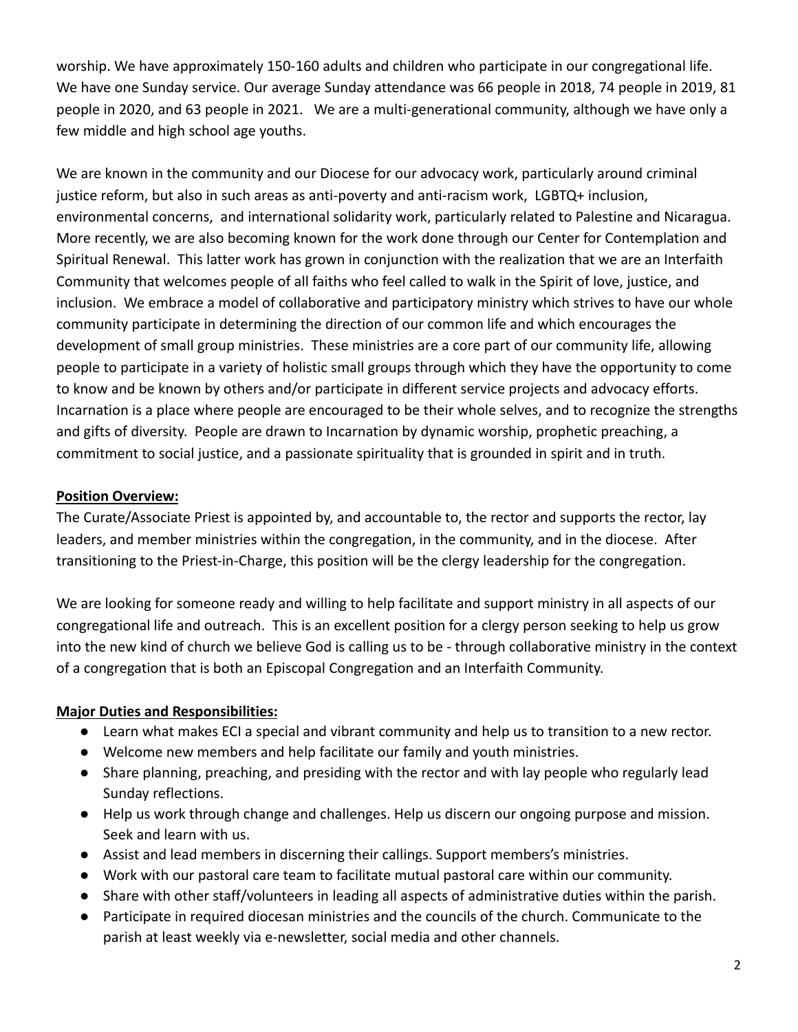worship. We have approximately 150-160 adults and children who participate in our congregational life. We have one Sunday service. Our average Sunday attendance was 66 people in 2018, 74 people in 2019, 81 people in 2020, and 63 people in 2021. We are a multi-generational community, although we have only a few middle and high school age youths.

We are known in the community and our Diocese for our advocacy work, particularly around criminal justice reform, but also in such areas as anti-poverty and anti-racism work, LGBTQ+ inclusion, environmental concerns, and international solidarity work, particularly related to Palestine and Nicaragua. More recently, we are also becoming known for the work done through our Center for Contemplation and Spiritual Renewal. This latter work has grown in conjunction with the realization that we are an Interfaith Community that welcomes people of all faiths who feel called to walk in the Spirit of love, justice, and inclusion. We embrace a model of collaborative and participatory ministry which strives to have our whole community participate in determining the direction of our common life and which encourages the development of small group ministries. These ministries are a core part of our community life, allowing people to participate in a variety of holistic small groups through which they have the opportunity to come to know and be known by others and/or participate in different service projects and advocacy efforts. Incarnation is a place where people are encouraged to be their whole selves, and to recognize the strengths and gifts of diversity. People are drawn to Incarnation by dynamic worship, prophetic preaching, a commitment to social justice, and a passionate spirituality that is grounded in spirit and in truth.

#### **Position Overview:**

The Curate/Associate Priest is appointed by, and accountable to, the rector and supports the rector, lay leaders, and member ministries within the congregation, in the community, and in the diocese. After transitioning to the Priest-in-Charge, this position will be the clergy leadership for the congregation.

We are looking for someone ready and willing to help facilitate and support ministry in all aspects of our congregational life and outreach. This is an excellent position for a clergy person seeking to help us grow into the new kind of church we believe God is calling us to be - through collaborative ministry in the context of a congregation that is both an Episcopal Congregation and an Interfaith Community.

# **Major Duties and Responsibilities:**

- Learn what makes ECI a special and vibrant community and help us to transition to a new rector.
- Welcome new members and help facilitate our family and youth ministries.
- Share planning, preaching, and presiding with the rector and with lay people who regularly lead Sunday reflections.
- Help us work through change and challenges. Help us discern our ongoing purpose and mission. Seek and learn with us.
- Assist and lead members in discerning their callings. Support members's ministries.
- Work with our pastoral care team to facilitate mutual pastoral care within our community.
- Share with other staff/volunteers in leading all aspects of administrative duties within the parish.
- Participate in required diocesan ministries and the councils of the church. Communicate to the parish at least weekly via e-newsletter, social media and other channels.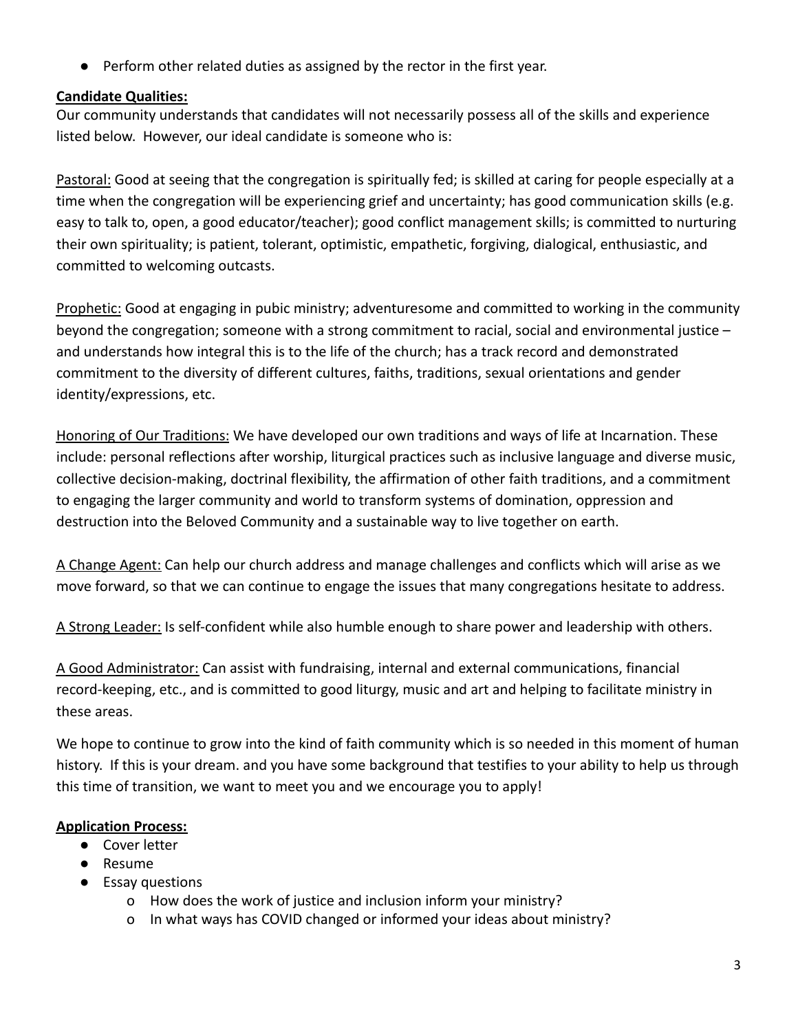● Perform other related duties as assigned by the rector in the first year.

# **Candidate Qualities:**

Our community understands that candidates will not necessarily possess all of the skills and experience listed below. However, our ideal candidate is someone who is:

Pastoral: Good at seeing that the congregation is spiritually fed; is skilled at caring for people especially at a time when the congregation will be experiencing grief and uncertainty; has good communication skills (e.g. easy to talk to, open, a good educator/teacher); good conflict management skills; is committed to nurturing their own spirituality; is patient, tolerant, optimistic, empathetic, forgiving, dialogical, enthusiastic, and committed to welcoming outcasts.

Prophetic: Good at engaging in pubic ministry; adventuresome and committed to working in the community beyond the congregation; someone with a strong commitment to racial, social and environmental justice – and understands how integral this is to the life of the church; has a track record and demonstrated commitment to the diversity of different cultures, faiths, traditions, sexual orientations and gender identity/expressions, etc.

Honoring of Our Traditions: We have developed our own traditions and ways of life at Incarnation. These include: personal reflections after worship, liturgical practices such as inclusive language and diverse music, collective decision-making, doctrinal flexibility, the affirmation of other faith traditions, and a commitment to engaging the larger community and world to transform systems of domination, oppression and destruction into the Beloved Community and a sustainable way to live together on earth.

A Change Agent: Can help our church address and manage challenges and conflicts which will arise as we move forward, so that we can continue to engage the issues that many congregations hesitate to address.

A Strong Leader: Is self-confident while also humble enough to share power and leadership with others.

A Good Administrator: Can assist with fundraising, internal and external communications, financial record-keeping, etc., and is committed to good liturgy, music and art and helping to facilitate ministry in these areas.

We hope to continue to grow into the kind of faith community which is so needed in this moment of human history. If this is your dream. and you have some background that testifies to your ability to help us through this time of transition, we want to meet you and we encourage you to apply!

# **Application Process:**

- Cover letter
- Resume
- Essay questions
	- o How does the work of justice and inclusion inform your ministry?
	- o In what ways has COVID changed or informed your ideas about ministry?